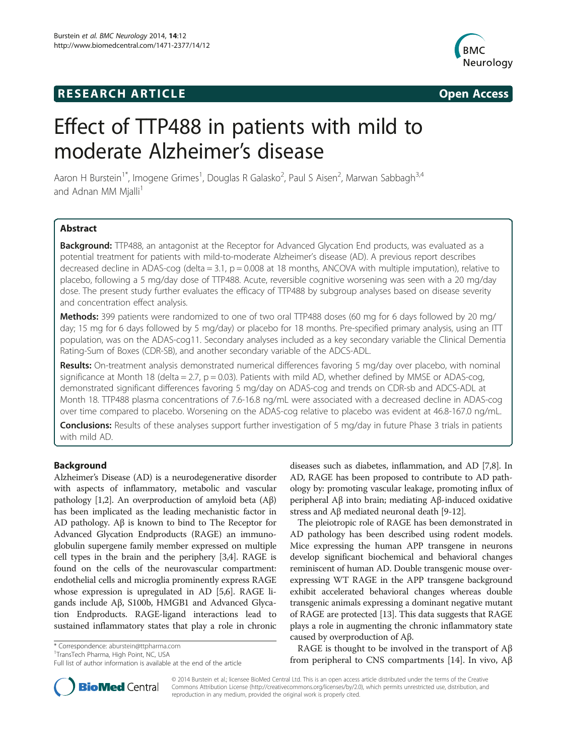# **RESEARCH ARTICLE Example 2018 12:00 Department of the CODE CODE Access**



# Effect of TTP488 in patients with mild to moderate Alzheimer's disease

Aaron H Burstein<sup>1\*</sup>, Imogene Grimes<sup>1</sup>, Douglas R Galasko<sup>2</sup>, Paul S Aisen<sup>2</sup>, Marwan Sabbagh<sup>3,4</sup> and Adnan MM Mjalli<sup>1</sup>

# Abstract

Background: TTP488, an antagonist at the Receptor for Advanced Glycation End products, was evaluated as a potential treatment for patients with mild-to-moderate Alzheimer's disease (AD). A previous report describes decreased decline in ADAS-cog (delta =  $3.1$ ,  $p = 0.008$  at 18 months, ANCOVA with multiple imputation), relative to placebo, following a 5 mg/day dose of TTP488. Acute, reversible cognitive worsening was seen with a 20 mg/day dose. The present study further evaluates the efficacy of TTP488 by subgroup analyses based on disease severity and concentration effect analysis.

**Methods:** 399 patients were randomized to one of two oral TTP488 doses (60 mg for 6 days followed by 20 mg/ day; 15 mg for 6 days followed by 5 mg/day) or placebo for 18 months. Pre-specified primary analysis, using an ITT population, was on the ADAS-cog11. Secondary analyses included as a key secondary variable the Clinical Dementia Rating-Sum of Boxes (CDR-SB), and another secondary variable of the ADCS-ADL.

Results: On-treatment analysis demonstrated numerical differences favoring 5 mg/day over placebo, with nominal significance at Month 18 (delta = 2.7,  $p = 0.03$ ). Patients with mild AD, whether defined by MMSE or ADAS-cog, demonstrated significant differences favoring 5 mg/day on ADAS-cog and trends on CDR-sb and ADCS-ADL at Month 18. TTP488 plasma concentrations of 7.6-16.8 ng/mL were associated with a decreased decline in ADAS-cog over time compared to placebo. Worsening on the ADAS-cog relative to placebo was evident at 46.8-167.0 ng/mL.

**Conclusions:** Results of these analyses support further investigation of 5 mg/day in future Phase 3 trials in patients with mild AD.

# Background

Alzheimer's Disease (AD) is a neurodegenerative disorder with aspects of inflammatory, metabolic and vascular pathology [[1,2](#page-7-0)]. An overproduction of amyloid beta (Aβ) has been implicated as the leading mechanistic factor in AD pathology. Aβ is known to bind to The Receptor for Advanced Glycation Endproducts (RAGE) an immunoglobulin supergene family member expressed on multiple cell types in the brain and the periphery [\[3,4](#page-7-0)]. RAGE is found on the cells of the neurovascular compartment: endothelial cells and microglia prominently express RAGE whose expression is upregulated in AD [\[5,6\]](#page-7-0). RAGE ligands include Aβ, S100b, HMGB1 and Advanced Glycation Endproducts. RAGE-ligand interactions lead to sustained inflammatory states that play a role in chronic

\* Correspondence: [aburstein@ttpharma.com](mailto:aburstein@ttpharma.com) <sup>1</sup>

<sup>1</sup>TransTech Pharma, High Point, NC, USA

Full list of author information is available at the end of the article

diseases such as diabetes, inflammation, and AD [[7,8](#page-7-0)]. In AD, RAGE has been proposed to contribute to AD pathology by: promoting vascular leakage, promoting influx of peripheral Aβ into brain; mediating Aβ-induced oxidative stress and Aβ mediated neuronal death [\[9](#page-7-0)-[12](#page-7-0)].

The pleiotropic role of RAGE has been demonstrated in AD pathology has been described using rodent models. Mice expressing the human APP transgene in neurons develop significant biochemical and behavioral changes reminiscent of human AD. Double transgenic mouse overexpressing WT RAGE in the APP transgene background exhibit accelerated behavioral changes whereas double transgenic animals expressing a dominant negative mutant of RAGE are protected [[13\]](#page-7-0). This data suggests that RAGE plays a role in augmenting the chronic inflammatory state caused by overproduction of Aβ.

RAGE is thought to be involved in the transport of  $A\beta$ from peripheral to CNS compartments [\[14](#page-7-0)]. In vivo, Aβ



© 2014 Burstein et al.; licensee BioMed Central Ltd. This is an open access article distributed under the terms of the Creative Commons Attribution License [\(http://creativecommons.org/licenses/by/2.0\)](http://creativecommons.org/licenses/by/2.0), which permits unrestricted use, distribution, and reproduction in any medium, provided the original work is properly cited.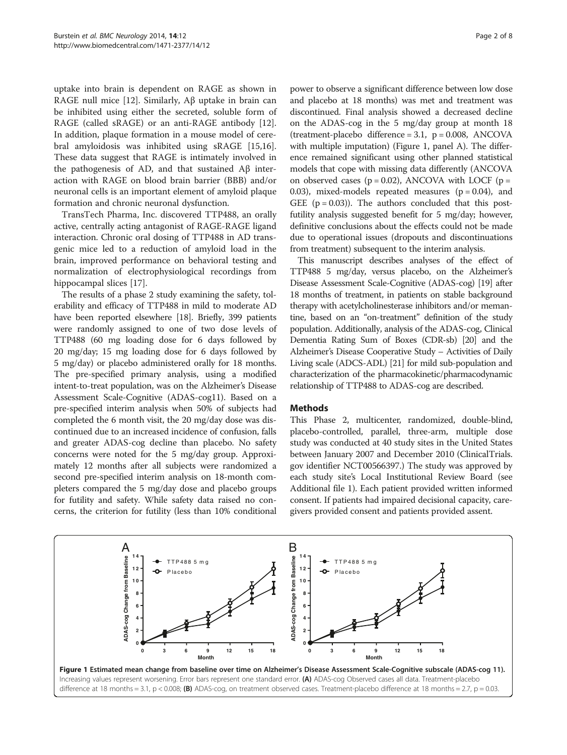<span id="page-1-0"></span>uptake into brain is dependent on RAGE as shown in RAGE null mice [\[12](#page-7-0)]. Similarly, Aβ uptake in brain can be inhibited using either the secreted, soluble form of RAGE (called sRAGE) or an anti-RAGE antibody [\[12](#page-7-0)]. In addition, plaque formation in a mouse model of cerebral amyloidosis was inhibited using sRAGE [\[15,16](#page-7-0)]. These data suggest that RAGE is intimately involved in the pathogenesis of AD, and that sustained Aβ interaction with RAGE on blood brain barrier (BBB) and/or neuronal cells is an important element of amyloid plaque formation and chronic neuronal dysfunction.

TransTech Pharma, Inc. discovered TTP488, an orally active, centrally acting antagonist of RAGE-RAGE ligand interaction. Chronic oral dosing of TTP488 in AD transgenic mice led to a reduction of amyloid load in the brain, improved performance on behavioral testing and normalization of electrophysiological recordings from hippocampal slices [[17\]](#page-7-0).

The results of a phase 2 study examining the safety, tolerability and efficacy of TTP488 in mild to moderate AD have been reported elsewhere [\[18\]](#page-7-0). Briefly, 399 patients were randomly assigned to one of two dose levels of TTP488 (60 mg loading dose for 6 days followed by 20 mg/day; 15 mg loading dose for 6 days followed by 5 mg/day) or placebo administered orally for 18 months. The pre-specified primary analysis, using a modified intent-to-treat population, was on the Alzheimer's Disease Assessment Scale-Cognitive (ADAS-cog11). Based on a pre-specified interim analysis when 50% of subjects had completed the 6 month visit, the 20 mg/day dose was discontinued due to an increased incidence of confusion, falls and greater ADAS-cog decline than placebo. No safety concerns were noted for the 5 mg/day group. Approximately 12 months after all subjects were randomized a second pre-specified interim analysis on 18-month completers compared the 5 mg/day dose and placebo groups for futility and safety. While safety data raised no concerns, the criterion for futility (less than 10% conditional

power to observe a significant difference between low dose and placebo at 18 months) was met and treatment was discontinued. Final analysis showed a decreased decline on the ADAS-cog in the 5 mg/day group at month 18 (treatment-placebo difference =  $3.1$ , p =  $0.008$ , ANCOVA with multiple imputation) (Figure 1, panel A). The difference remained significant using other planned statistical models that cope with missing data differently (ANCOVA on observed cases ( $p = 0.02$ ), ANCOVA with LOCF ( $p =$ 0.03), mixed-models repeated measures  $(p = 0.04)$ , and GEE  $(p = 0.03)$ ). The authors concluded that this postfutility analysis suggested benefit for 5 mg/day; however, definitive conclusions about the effects could not be made due to operational issues (dropouts and discontinuations from treatment) subsequent to the interim analysis.

This manuscript describes analyses of the effect of TTP488 5 mg/day, versus placebo, on the Alzheimer's Disease Assessment Scale-Cognitive (ADAS-cog) [\[19\]](#page-7-0) after 18 months of treatment, in patients on stable background therapy with acetylcholinesterase inhibitors and/or memantine, based on an "on-treatment" definition of the study population. Additionally, analysis of the ADAS-cog, Clinical Dementia Rating Sum of Boxes (CDR-sb) [[20](#page-7-0)] and the Alzheimer's Disease Cooperative Study – Activities of Daily Living scale (ADCS-ADL) [[21\]](#page-7-0) for mild sub-population and characterization of the pharmacokinetic/pharmacodynamic relationship of TTP488 to ADAS-cog are described.

#### **Methods**

This Phase 2, multicenter, randomized, double-blind, placebo-controlled, parallel, three-arm, multiple dose study was conducted at 40 study sites in the United States between January 2007 and December 2010 (ClinicalTrials. gov identifier NCT00566397.) The study was approved by each study site's Local Institutional Review Board (see Additional file [1](#page-6-0)). Each patient provided written informed consent. If patients had impaired decisional capacity, caregivers provided consent and patients provided assent.

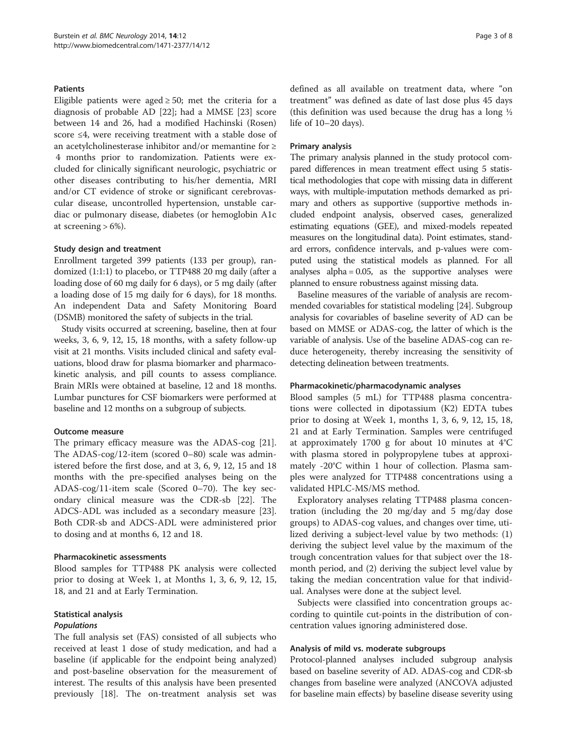#### **Patients**

Eligible patients were aged  $\geq$  50; met the criteria for a diagnosis of probable AD [[22](#page-7-0)]; had a MMSE [\[23](#page-7-0)] score between 14 and 26, had a modified Hachinski (Rosen) score ≤4, were receiving treatment with a stable dose of an acetylcholinesterase inhibitor and/or memantine for ≥ 4 months prior to randomization. Patients were excluded for clinically significant neurologic, psychiatric or other diseases contributing to his/her dementia, MRI and/or CT evidence of stroke or significant cerebrovascular disease, uncontrolled hypertension, unstable cardiac or pulmonary disease, diabetes (or hemoglobin A1c at screening  $> 6\%$ ).

#### Study design and treatment

Enrollment targeted 399 patients (133 per group), randomized (1:1:1) to placebo, or TTP488 20 mg daily (after a loading dose of 60 mg daily for 6 days), or 5 mg daily (after a loading dose of 15 mg daily for 6 days), for 18 months. An independent Data and Safety Monitoring Board (DSMB) monitored the safety of subjects in the trial.

Study visits occurred at screening, baseline, then at four weeks, 3, 6, 9, 12, 15, 18 months, with a safety follow-up visit at 21 months. Visits included clinical and safety evaluations, blood draw for plasma biomarker and pharmacokinetic analysis, and pill counts to assess compliance. Brain MRIs were obtained at baseline, 12 and 18 months. Lumbar punctures for CSF biomarkers were performed at baseline and 12 months on a subgroup of subjects.

# Outcome measure

The primary efficacy measure was the ADAS-cog [\[21](#page-7-0)]. The ADAS-cog/12-item (scored 0–80) scale was administered before the first dose, and at 3, 6, 9, 12, 15 and 18 months with the pre-specified analyses being on the ADAS-cog/11-item scale (Scored 0–70). The key secondary clinical measure was the CDR-sb [\[22](#page-7-0)]. The ADCS-ADL was included as a secondary measure [\[23](#page-7-0)]. Both CDR-sb and ADCS-ADL were administered prior to dosing and at months 6, 12 and 18.

#### Pharmacokinetic assessments

Blood samples for TTP488 PK analysis were collected prior to dosing at Week 1, at Months 1, 3, 6, 9, 12, 15, 18, and 21 and at Early Termination.

# Statistical analysis

#### Populations

The full analysis set (FAS) consisted of all subjects who received at least 1 dose of study medication, and had a baseline (if applicable for the endpoint being analyzed) and post-baseline observation for the measurement of interest. The results of this analysis have been presented previously [\[18\]](#page-7-0). The on-treatment analysis set was

defined as all available on treatment data, where "on treatment" was defined as date of last dose plus 45 days (this definition was used because the drug has a long ½ life of 10–20 days).

#### Primary analysis

The primary analysis planned in the study protocol compared differences in mean treatment effect using 5 statistical methodologies that cope with missing data in different ways, with multiple-imputation methods demarked as primary and others as supportive (supportive methods included endpoint analysis, observed cases, generalized estimating equations (GEE), and mixed-models repeated measures on the longitudinal data). Point estimates, standard errors, confidence intervals, and p-values were computed using the statistical models as planned. For all analyses alpha  $= 0.05$ , as the supportive analyses were planned to ensure robustness against missing data.

Baseline measures of the variable of analysis are recommended covariables for statistical modeling [\[24](#page-7-0)]. Subgroup analysis for covariables of baseline severity of AD can be based on MMSE or ADAS-cog, the latter of which is the variable of analysis. Use of the baseline ADAS-cog can reduce heterogeneity, thereby increasing the sensitivity of detecting delineation between treatments.

# Pharmacokinetic/pharmacodynamic analyses

Blood samples (5 mL) for TTP488 plasma concentrations were collected in dipotassium (K2) EDTA tubes prior to dosing at Week 1, months 1, 3, 6, 9, 12, 15, 18, 21 and at Early Termination. Samples were centrifuged at approximately 1700 g for about 10 minutes at 4°C with plasma stored in polypropylene tubes at approximately -20°C within 1 hour of collection. Plasma samples were analyzed for TTP488 concentrations using a validated HPLC-MS/MS method.

Exploratory analyses relating TTP488 plasma concentration (including the 20 mg/day and 5 mg/day dose groups) to ADAS-cog values, and changes over time, utilized deriving a subject-level value by two methods: (1) deriving the subject level value by the maximum of the trough concentration values for that subject over the 18 month period, and (2) deriving the subject level value by taking the median concentration value for that individual. Analyses were done at the subject level.

Subjects were classified into concentration groups according to quintile cut-points in the distribution of concentration values ignoring administered dose.

#### Analysis of mild vs. moderate subgroups

Protocol-planned analyses included subgroup analysis based on baseline severity of AD. ADAS-cog and CDR-sb changes from baseline were analyzed (ANCOVA adjusted for baseline main effects) by baseline disease severity using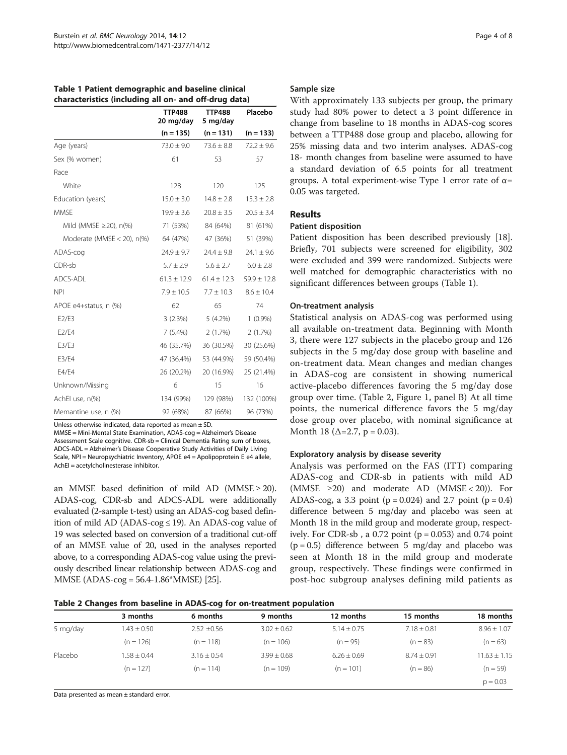| Table 1 Patient demographic and baseline clinical     |
|-------------------------------------------------------|
| characteristics (including all on- and off-drug data) |

|                              | <b>TTP488</b><br>20 mg/day | <b>TTP488</b><br>5 mg/day | Placebo         |
|------------------------------|----------------------------|---------------------------|-----------------|
|                              | $(n = 135)$                | $(n = 131)$               | $(n = 133)$     |
| Age (years)                  | $73.0 \pm 9.0$             | $73.6 \pm 8.8$            | $72.2 \pm 9.6$  |
| Sex (% women)                | 61                         | 53                        | 57              |
| Race                         |                            |                           |                 |
| White                        | 128                        | 120                       | 125             |
| Education (years)            | $15.0 \pm 3.0$             | $14.8 \pm 2.8$            | $15.3 \pm 2.8$  |
| <b>MMSE</b>                  | $19.9 \pm 3.6$             | $20.8 \pm 3.5$            | $20.5 \pm 3.4$  |
| Mild (MMSE $\geq$ 20), n(%)  | 71 (53%)                   | 84 (64%)                  | 81 (61%)        |
| Moderate (MMSE $<$ 20), n(%) | 64 (47%)                   | 47 (36%)                  | 51 (39%)        |
| ADAS-cog                     | $24.9 \pm 9.7$             | $24.4 \pm 9.8$            | $24.1 \pm 9.6$  |
| CDR-sb                       | $5.7 \pm 2.9$              | $5.6 \pm 2.7$             | $6.0 \pm 2.8$   |
| ADCS-ADL                     | $61.3 \pm 12.9$            | $61.4 \pm 12.3$           | $59.9 \pm 12.8$ |
| <b>NPI</b>                   | $7.9 \pm 10.5$             | $7.7 \pm 10.3$            | $8.6 \pm 10.4$  |
| APOE e4+status, n (%)        | 62                         | 65                        | 74              |
| E2/E3                        | 3(2.3%)                    | 5 (4.2%)                  | $1(0.9\%)$      |
| E2/E4                        | $7(5.4\%)$                 | 2(1.7%)                   | 2(1.7%)         |
| E3/E3                        | 46 (35.7%)                 | 36 (30.5%)                | 30 (25.6%)      |
| E3/E4                        | 47 (36.4%)                 | 53 (44.9%)                | 59 (50.4%)      |
| E4/E4                        | 26 (20.2%)                 | 20 (16.9%)                | 25 (21.4%)      |
| Unknown/Missing              | 6                          | 15                        | 16              |
| AchEl use, n(%)              | 134 (99%)                  | 129 (98%)                 | 132 (100%)      |
| Memantine use, n (%)         | 92 (68%)                   | 87 (66%)                  | 96 (73%)        |

Unless otherwise indicated, data reported as mean  $\pm$  SD.

MMSE = Mini-Mental State Examination, ADAS-cog = Alzheimer's Disease Assessment Scale cognitive. CDR-sb = Clinical Dementia Rating sum of boxes, ADCS-ADL = Alzheimer's Disease Cooperative Study Activities of Daily Living Scale, NPI = Neuropsychiatric Inventory, APOE e4 = Apolipoprotein E e4 allele,

AchEI = acetylcholinesterase inhibitor.

an MMSE based definition of mild AD (MMSE  $\geq$  20). ADAS-cog, CDR-sb and ADCS-ADL were additionally evaluated (2-sample t-test) using an ADAS-cog based definition of mild AD (ADAS-cog  $\leq$  19). An ADAS-cog value of 19 was selected based on conversion of a traditional cut-off of an MMSE value of 20, used in the analyses reported above, to a corresponding ADAS-cog value using the previously described linear relationship between ADAS-cog and MMSE (ADAS-cog = 56.4-1.86\*MMSE) [\[25](#page-7-0)].

#### Sample size

With approximately 133 subjects per group, the primary study had 80% power to detect a 3 point difference in change from baseline to 18 months in ADAS-cog scores between a TTP488 dose group and placebo, allowing for 25% missing data and two interim analyses. ADAS-cog 18- month changes from baseline were assumed to have a standard deviation of 6.5 points for all treatment groups. A total experiment-wise Type 1 error rate of  $\alpha$ = 0.05 was targeted.

# Results

# Patient disposition

Patient disposition has been described previously [\[18](#page-7-0)]. Briefly, 701 subjects were screened for eligibility, 302 were excluded and 399 were randomized. Subjects were well matched for demographic characteristics with no significant differences between groups (Table 1).

#### On-treatment analysis

Statistical analysis on ADAS-cog was performed using all available on-treatment data. Beginning with Month 3, there were 127 subjects in the placebo group and 126 subjects in the 5 mg/day dose group with baseline and on-treatment data. Mean changes and median changes in ADAS-cog are consistent in showing numerical active-placebo differences favoring the 5 mg/day dose group over time. (Table 2, Figure [1,](#page-1-0) panel B) At all time points, the numerical difference favors the 5 mg/day dose group over placebo, with nominal significance at Month 18 ( $\Delta = 2.7$ , p = 0.03).

# Exploratory analysis by disease severity

Analysis was performed on the FAS (ITT) comparing ADAS-cog and CDR-sb in patients with mild AD (MMSE  $\geq 20$ ) and moderate AD (MMSE < 20)). For ADAS-cog, a 3.3 point ( $p = 0.024$ ) and 2.7 point ( $p = 0.4$ ) difference between 5 mg/day and placebo was seen at Month 18 in the mild group and moderate group, respectively. For CDR-sb, a  $0.72$  point ( $p = 0.053$ ) and  $0.74$  point  $(p = 0.5)$  difference between 5 mg/day and placebo was seen at Month 18 in the mild group and moderate group, respectively. These findings were confirmed in post-hoc subgroup analyses defining mild patients as

Table 2 Changes from baseline in ADAS-cog for on-treatment population

|          |                 | -               |                 |                 |                 |                  |
|----------|-----------------|-----------------|-----------------|-----------------|-----------------|------------------|
|          | 3 months        | 6 months        | 9 months        | 12 months       | 15 months       | 18 months        |
| 5 mg/day | $1.43 \pm 0.50$ | $2.52 \pm 0.56$ | $3.02 \pm 0.62$ | $5.14 \pm 0.75$ | $7.18 \pm 0.81$ | $8.96 \pm 1.07$  |
|          | $(n = 126)$     | $(n = 118)$     | $(n = 106)$     | $(n = 95)$      | $(n = 83)$      | $(n = 63)$       |
| Placebo  | $.58 \pm 0.44$  | $3.16 \pm 0.54$ | $3.99 \pm 0.68$ | $6.26 \pm 0.69$ | $8.74 \pm 0.91$ | $11.63 \pm 1.15$ |
|          | $(n = 127)$     | $(n = 114)$     | $(n = 109)$     | $(n = 101)$     | $(n = 86)$      | $(n = 59)$       |
|          |                 |                 |                 |                 |                 | $p = 0.03$       |
|          |                 |                 |                 |                 |                 |                  |

Data presented as mean ± standard error.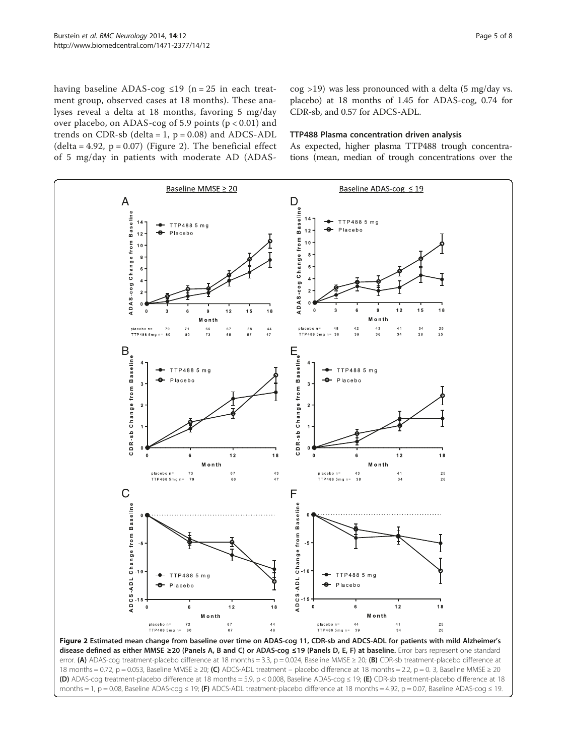having baseline ADAS-cog  $\leq$ 19 (n = 25 in each treatment group, observed cases at 18 months). These analyses reveal a delta at 18 months, favoring 5 mg/day over placebo, on ADAS-cog of 5.9 points (p < 0.01) and trends on CDR-sb (delta =  $1$ ,  $p = 0.08$ ) and ADCS-ADL  $(delta = 4.92, p = 0.07)$  (Figure 2). The beneficial effect of 5 mg/day in patients with moderate AD (ADAS-

cog >19) was less pronounced with a delta (5 mg/day vs. placebo) at 18 months of 1.45 for ADAS-cog, 0.74 for CDR-sb, and 0.57 for ADCS-ADL.

## TTP488 Plasma concentration driven analysis

As expected, higher plasma TTP488 trough concentrations (mean, median of trough concentrations over the



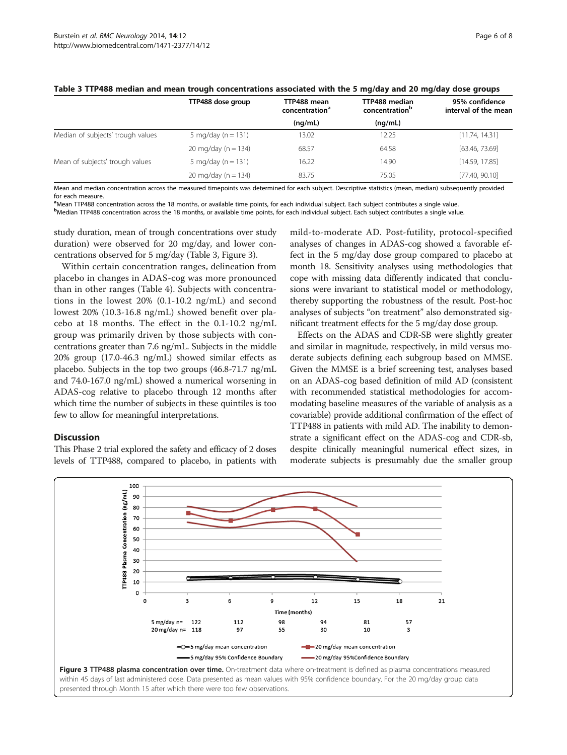|                                   | TTP488 dose group       | TTP488 mean<br>concentration <sup>a</sup> | TTP488 median<br>concentration <sup>b</sup> | 95% confidence<br>interval of the mean |
|-----------------------------------|-------------------------|-------------------------------------------|---------------------------------------------|----------------------------------------|
|                                   |                         | (nq/mL)                                   | (nq/mL)                                     |                                        |
| Median of subjects' trough values | 5 mg/day ( $n = 131$ )  | 13.02                                     | 12.25                                       | [11.74, 14.31]                         |
|                                   | 20 mg/day ( $n = 134$ ) | 68.57                                     | 64.58                                       | [63.46, 73.69]                         |
| Mean of subjects' trough values   | 5 mg/day ( $n = 131$ )  | 16.22                                     | 14.90                                       | [14.59, 17.85]                         |
|                                   | 20 mg/day ( $n = 134$ ) | 83.75                                     | 75.05                                       | [77.40, 90.10]                         |

#### Table 3 TTP488 median and mean trough concentrations associated with the 5 mg/day and 20 mg/day dose groups

Mean and median concentration across the measured timepoints was determined for each subject. Descriptive statistics (mean, median) subsequently provided for each measure.

a Mean TTP488 concentration across the 18 months, or available time points, for each individual subject. Each subject contributes a single value.

b Median TTP488 concentration across the 18 months, or available time points, for each individual subject. Each subject contributes a single value.

study duration, mean of trough concentrations over study duration) were observed for 20 mg/day, and lower concentrations observed for 5 mg/day (Table 3, Figure 3).

Within certain concentration ranges, delineation from placebo in changes in ADAS-cog was more pronounced than in other ranges (Table [4](#page-6-0)). Subjects with concentrations in the lowest 20% (0.1-10.2 ng/mL) and second lowest 20% (10.3-16.8 ng/mL) showed benefit over placebo at 18 months. The effect in the 0.1-10.2 ng/mL group was primarily driven by those subjects with concentrations greater than 7.6 ng/mL. Subjects in the middle 20% group (17.0-46.3 ng/mL) showed similar effects as placebo. Subjects in the top two groups (46.8-71.7 ng/mL and 74.0-167.0 ng/mL) showed a numerical worsening in ADAS-cog relative to placebo through 12 months after which time the number of subjects in these quintiles is too few to allow for meaningful interpretations.

#### **Discussion**

This Phase 2 trial explored the safety and efficacy of 2 doses levels of TTP488, compared to placebo, in patients with

mild-to-moderate AD. Post-futility, protocol-specified analyses of changes in ADAS-cog showed a favorable effect in the 5 mg/day dose group compared to placebo at month 18. Sensitivity analyses using methodologies that cope with missing data differently indicated that conclusions were invariant to statistical model or methodology, thereby supporting the robustness of the result. Post-hoc analyses of subjects "on treatment" also demonstrated significant treatment effects for the 5 mg/day dose group.

Effects on the ADAS and CDR-SB were slightly greater and similar in magnitude, respectively, in mild versus moderate subjects defining each subgroup based on MMSE. Given the MMSE is a brief screening test, analyses based on an ADAS-cog based definition of mild AD (consistent with recommended statistical methodologies for accommodating baseline measures of the variable of analysis as a covariable) provide additional confirmation of the effect of TTP488 in patients with mild AD. The inability to demonstrate a significant effect on the ADAS-cog and CDR-sb, despite clinically meaningful numerical effect sizes, in moderate subjects is presumably due the smaller group



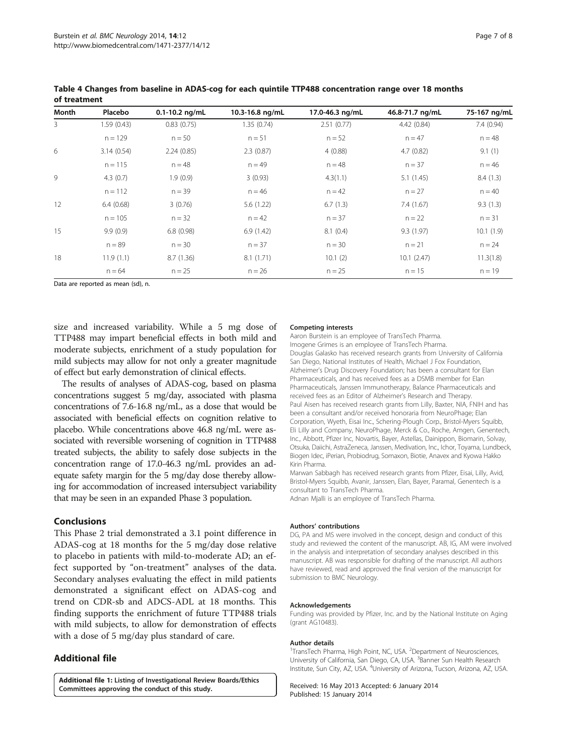| Month          | Placebo    | $0.1 - 10.2$ ng/mL | 10.3-16.8 ng/mL | 17.0-46.3 ng/mL | 46.8-71.7 ng/mL | 75-167 ng/mL |
|----------------|------------|--------------------|-----------------|-----------------|-----------------|--------------|
| $\overline{3}$ | 1.59(0.43) | 0.83(0.75)         | 1.35(0.74)      | 2.51(0.77)      | 4.42 (0.84)     | 7.4 (0.94)   |
|                | $n = 129$  | $n = 50$           | $n = 51$        | $n = 52$        | $n = 47$        | $n = 48$     |
| 6              | 3.14(0.54) | 2.24(0.85)         | 2.3(0.87)       | 4(0.88)         | 4.7(0.82)       | 9.1(1)       |
|                | $n = 115$  | $n = 48$           | $n = 49$        | $n = 48$        | $n = 37$        | $n = 46$     |
| 9              | 4.3(0.7)   | 1.9(0.9)           | 3(0.93)         | 4.3(1.1)        | 5.1(1.45)       | 8.4(1.3)     |
|                | $n = 112$  | $n = 39$           | $n = 46$        | $n = 42$        | $n = 27$        | $n = 40$     |
| 12             | 6.4(0.68)  | 3(0.76)            | 5.6(1.22)       | 6.7(1.3)        | 7.4(1.67)       | 9.3(1.3)     |
|                | $n = 105$  | $n = 32$           | $n = 42$        | $n = 37$        | $n = 22$        | $n = 31$     |
| 15             | 9.9(0.9)   | 6.8(0.98)          | 6.9(1.42)       | 8.1(0.4)        | 9.3(1.97)       | 10.1(1.9)    |
|                | $n = 89$   | $n = 30$           | $n = 37$        | $n = 30$        | $n = 21$        | $n = 24$     |
| 18             | 11.9(1.1)  | 8.7(1.36)          | 8.1(1.71)       | 10.1(2)         | 10.1(2.47)      | 11.3(1.8)    |
|                | $n = 64$   | $n = 25$           | $n = 26$        | $n = 25$        | $n = 15$        | $n = 19$     |

<span id="page-6-0"></span>Table 4 Changes from baseline in ADAS-cog for each quintile TTP488 concentration range over 18 months of treatment

Data are reported as mean (sd), n.

size and increased variability. While a 5 mg dose of TTP488 may impart beneficial effects in both mild and moderate subjects, enrichment of a study population for mild subjects may allow for not only a greater magnitude of effect but early demonstration of clinical effects.

The results of analyses of ADAS-cog, based on plasma concentrations suggest 5 mg/day, associated with plasma concentrations of 7.6-16.8 ng/mL, as a dose that would be associated with beneficial effects on cognition relative to placebo. While concentrations above 46.8 ng/mL were associated with reversible worsening of cognition in TTP488 treated subjects, the ability to safely dose subjects in the concentration range of 17.0-46.3 ng/mL provides an adequate safety margin for the 5 mg/day dose thereby allowing for accommodation of increased intersubject variability that may be seen in an expanded Phase 3 population.

#### Conclusions

This Phase 2 trial demonstrated a 3.1 point difference in ADAS-cog at 18 months for the 5 mg/day dose relative to placebo in patients with mild-to-moderate AD; an effect supported by "on-treatment" analyses of the data. Secondary analyses evaluating the effect in mild patients demonstrated a significant effect on ADAS-cog and trend on CDR-sb and ADCS-ADL at 18 months. This finding supports the enrichment of future TTP488 trials with mild subjects, to allow for demonstration of effects with a dose of 5 mg/day plus standard of care.

# Additional file

[Additional file 1:](http://www.biomedcentral.com/content/supplementary/1471-2377-14-12-S1.docx) Listing of Investigational Review Boards/Ethics Committees approving the conduct of this study.

#### Competing interests

Aaron Burstein is an employee of TransTech Pharma. Imogene Grimes is an employee of TransTech Pharma. Douglas Galasko has received research grants from University of California San Diego, National Institutes of Health, Michael J Fox Foundation, Alzheimer's Drug Discovery Foundation; has been a consultant for Elan Pharmaceuticals, and has received fees as a DSMB member for Elan Pharmaceuticals, Janssen Immunotherapy, Balance Pharmaceuticals and received fees as an Editor of Alzheimer's Research and Therapy. Paul Aisen has received research grants from Lilly, Baxter, NIA, FNIH and has been a consultant and/or received honoraria from NeuroPhage; Elan Corporation, Wyeth, Eisai Inc., Schering-Plough Corp., Bristol-Myers Squibb, Eli Lilly and Company, NeuroPhage, Merck & Co., Roche, Amgen, Genentech, Inc., Abbott, Pfizer Inc, Novartis, Bayer, Astellas, Dainippon, Biomarin, Solvay, Otsuka, Daiichi, AstraZeneca, Janssen, Medivation, Inc., Ichor, Toyama, Lundbeck, Biogen Idec, iPerian, Probiodrug, Somaxon, Biotie, Anavex and Kyowa Hakko Kirin Pharma.

Marwan Sabbagh has received research grants from Pfizer, Eisai, Lilly, Avid, Bristol-Myers Squibb, Avanir, Janssen, Elan, Bayer, Paramal, Genentech is a consultant to TransTech Pharma.

Adnan Mjalli is an employee of TransTech Pharma.

#### Authors' contributions

DG, PA and MS were involved in the concept, design and conduct of this study and reviewed the content of the manuscript. AB, IG, AM were involved in the analysis and interpretation of secondary analyses described in this manuscript. AB was responsible for drafting of the manuscript. All authors have reviewed, read and approved the final version of the manuscript for submission to BMC Neurology.

#### Acknowledgements

Funding was provided by Pfizer, Inc. and by the National Institute on Aging (grant AG10483).

#### Author details

<sup>1</sup>TransTech Pharma, High Point, NC, USA. <sup>2</sup>Department of Neurosciences University of California, San Diego, CA, USA. <sup>3</sup> Banner Sun Health Research Institute, Sun City, AZ, USA. <sup>4</sup>University of Arizona, Tucson, Arizona, AZ, USA

Received: 16 May 2013 Accepted: 6 January 2014 Published: 15 January 2014